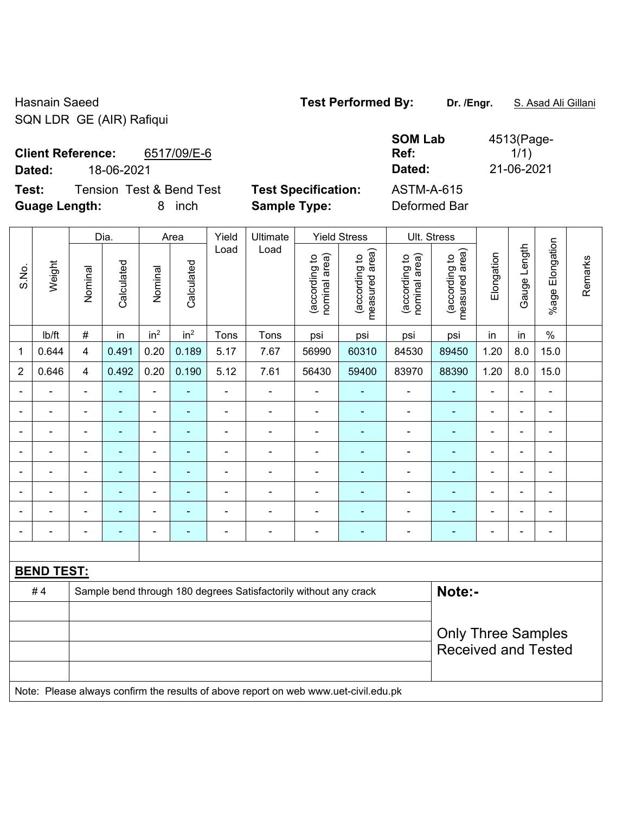Hasnain Saeed **Test Performed By: Dr. /Engr.** S. Asad Ali Gillani SQN LDR GE (AIR) Rafiqui

**Client Reference:** 6517/09/E-6

**Test:** Tension Test & Bend Test **Test Specification:** ASTM-A-615 **Guage Length:** 8 inch **Sample Type:** Deformed Bar

**SOM Lab Ref:**  4513(Page- $1/1)$ **Dated:** 18-06-2021 **Dated:** 21-06-2021

|                                                                                  | Weight                                                                              | Dia.           |                | Area                     |                 | Yield          | Ultimate       | <b>Yield Stress</b>            |                                 | Ult. Stress                    |                                    |                           |                          |                 |         |  |
|----------------------------------------------------------------------------------|-------------------------------------------------------------------------------------|----------------|----------------|--------------------------|-----------------|----------------|----------------|--------------------------------|---------------------------------|--------------------------------|------------------------------------|---------------------------|--------------------------|-----------------|---------|--|
| S.No.                                                                            |                                                                                     | Nominal        | Calculated     | Nominal                  | Calculated      | Load           | Load           | nominal area)<br>(according to | measured area)<br>(according to | (according to<br>nominal area) | area)<br>(according to<br>measured | Elongation                | Gauge Length             | %age Elongation | Remarks |  |
|                                                                                  | lb/ft                                                                               | $\#$           | in             | in <sup>2</sup>          | in <sup>2</sup> | Tons           | Tons           | psi                            | psi                             | psi                            | psi                                | in                        | in                       | $\%$            |         |  |
| 1                                                                                | 0.644                                                                               | 4              | 0.491          | 0.20                     | 0.189           | 5.17           | 7.67           | 56990                          | 60310                           | 84530                          | 89450                              | 1.20                      | 8.0                      | 15.0            |         |  |
| $\overline{2}$                                                                   | 0.646                                                                               | $\overline{4}$ | 0.492          | 0.20                     | 0.190           | 5.12           | 7.61           | 56430                          | 59400                           | 83970                          | 88390                              | 1.20                      | 8.0                      | 15.0            |         |  |
|                                                                                  | $\blacksquare$                                                                      | $\blacksquare$ | ä,             | $\blacksquare$           | ÷,              | $\blacksquare$ | ä,             | $\blacksquare$                 | ä,                              | ÷,                             | $\blacksquare$                     | $\blacksquare$            | $\blacksquare$           | $\blacksquare$  |         |  |
| $\blacksquare$                                                                   | ÷,                                                                                  | $\blacksquare$ | $\blacksquare$ | $\blacksquare$           | ä,              | $\blacksquare$ | $\blacksquare$ | $\blacksquare$                 | ٠                               | $\blacksquare$                 | $\blacksquare$                     | ä,                        | $\blacksquare$           | $\blacksquare$  |         |  |
|                                                                                  | ۳                                                                                   |                |                | $\overline{\phantom{0}}$ | $\blacksquare$  | $\blacksquare$ | $\blacksquare$ | $\blacksquare$                 | ۳                               |                                | $\blacksquare$                     | L.                        | $\blacksquare$           |                 |         |  |
|                                                                                  |                                                                                     |                |                | $\blacksquare$           |                 | ä,             |                | $\blacksquare$                 | ÷,                              | $\blacksquare$                 |                                    | $\blacksquare$            |                          |                 |         |  |
| $\overline{\phantom{0}}$                                                         | ۳                                                                                   | $\blacksquare$ |                | $\blacksquare$           | $\blacksquare$  |                |                | L,                             | ٠                               | $\blacksquare$                 | $\blacksquare$                     | $\blacksquare$            | $\overline{\phantom{a}}$ | $\blacksquare$  |         |  |
| $\overline{a}$                                                                   | -                                                                                   | $\blacksquare$ | $\blacksquare$ | $\blacksquare$           | ÷               | $\blacksquare$ | $\blacksquare$ | -                              | ٠                               | $\qquad \qquad \blacksquare$   | $\blacksquare$                     | $\blacksquare$            | $\blacksquare$           | $\blacksquare$  |         |  |
| $\blacksquare$                                                                   | ä,                                                                                  | $\blacksquare$ | $\blacksquare$ | $\overline{\phantom{a}}$ | $\blacksquare$  | $\blacksquare$ | $\blacksquare$ | $\blacksquare$                 | ۰                               | $\blacksquare$                 | $\blacksquare$                     | $\blacksquare$            | $\blacksquare$           | $\blacksquare$  |         |  |
|                                                                                  | ۰                                                                                   | $\overline{a}$ |                | $\blacksquare$           | ÷               | $\blacksquare$ | $\blacksquare$ | -                              | ٠                               | ÷                              | $\blacksquare$                     | $\blacksquare$            | Ē,                       | $\blacksquare$  |         |  |
|                                                                                  |                                                                                     |                |                |                          |                 |                |                |                                |                                 |                                |                                    |                           |                          |                 |         |  |
|                                                                                  | <b>BEND TEST:</b>                                                                   |                |                |                          |                 |                |                |                                |                                 |                                |                                    |                           |                          |                 |         |  |
| #4<br>Note:-<br>Sample bend through 180 degrees Satisfactorily without any crack |                                                                                     |                |                |                          |                 |                |                |                                |                                 |                                |                                    |                           |                          |                 |         |  |
|                                                                                  |                                                                                     |                |                |                          |                 |                |                |                                |                                 |                                |                                    |                           |                          |                 |         |  |
|                                                                                  |                                                                                     |                |                |                          |                 |                |                |                                |                                 |                                |                                    | <b>Only Three Samples</b> |                          |                 |         |  |
|                                                                                  |                                                                                     |                |                |                          |                 |                |                |                                |                                 |                                | <b>Received and Tested</b>         |                           |                          |                 |         |  |
|                                                                                  |                                                                                     |                |                |                          |                 |                |                |                                |                                 |                                |                                    |                           |                          |                 |         |  |
|                                                                                  | Note: Please always confirm the results of above report on web www.uet-civil.edu.pk |                |                |                          |                 |                |                |                                |                                 |                                |                                    |                           |                          |                 |         |  |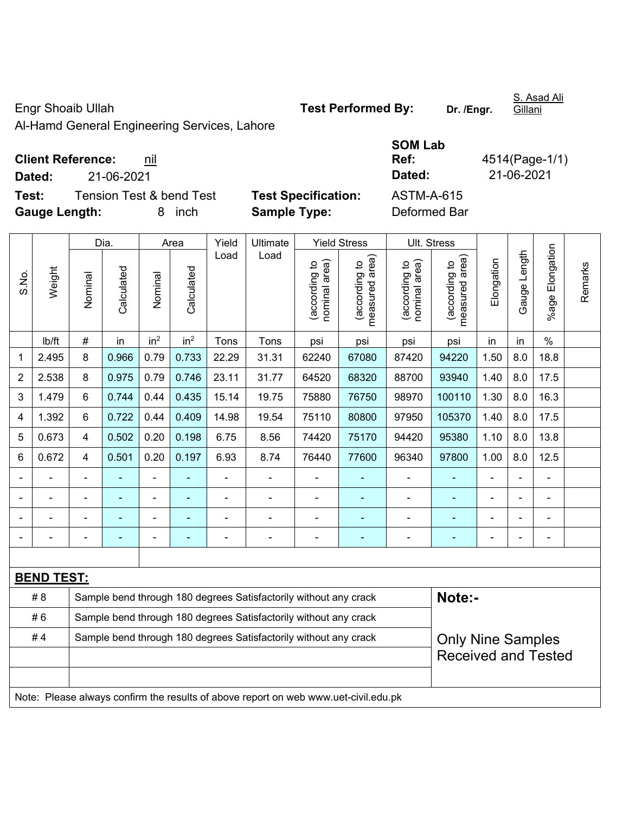Al-Hamd General Engineering Services, Lahore

## **Client Reference:** nil

**Test:** Tension Test & bend Test **Test Specification:** ASTM-A-615 **Gauge Length:** 8 inch **Sample Type:** Deformed Bar

**Dated:** 21-06-2021 **Dated:** 21-06-2021

**SOM Lab Ref:** 4514(Page-1/1)

|                | Weight                                                                           | Dia.                                                             |            | Area            |                 | Yield                    | Ultimate                                                                            | <b>Yield Stress</b>            |                                             |                                   | Ult. Stress                                 |                |              |                       |         |
|----------------|----------------------------------------------------------------------------------|------------------------------------------------------------------|------------|-----------------|-----------------|--------------------------|-------------------------------------------------------------------------------------|--------------------------------|---------------------------------------------|-----------------------------------|---------------------------------------------|----------------|--------------|-----------------------|---------|
| S.No.          |                                                                                  | Nominal                                                          | Calculated | Nominal         | Calculated      | Load                     | Load                                                                                | nominal area)<br>(according to | (according to<br>measured area)<br>measured | area)<br>(according to<br>nominal | (according to<br>measured area)<br>measured | Elongation     | Gauge Length | Elongation<br>$%$ age | Remarks |
|                | lb/ft                                                                            | #                                                                | in         | in <sup>2</sup> | in <sup>2</sup> | Tons                     | Tons                                                                                | psi                            | psi                                         | psi                               | psi                                         | in             | in           | $\frac{0}{0}$         |         |
| 1              | 2.495                                                                            | 8                                                                | 0.966      | 0.79            | 0.733           | 22.29                    | 31.31                                                                               | 62240                          | 67080                                       | 87420                             | 94220                                       | 1.50           | 8.0          | 18.8                  |         |
| $\overline{2}$ | 2.538                                                                            | 8                                                                | 0.975      | 0.79            | 0.746           | 23.11                    | 31.77                                                                               | 64520                          | 68320                                       | 88700                             | 93940                                       | 1.40           | 8.0          | 17.5                  |         |
| 3              | 1.479                                                                            | $6\phantom{a}$                                                   | 0.744      | 0.44            | 0.435           | 15.14                    | 19.75                                                                               | 75880                          | 76750                                       | 98970                             | 100110                                      | 1.30           | 8.0          | 16.3                  |         |
| 4              | 1.392                                                                            | $\,6\,$                                                          | 0.722      | 0.44            | 0.409           | 14.98                    | 19.54                                                                               | 75110                          | 80800                                       | 97950                             | 105370                                      | 1.40           | 8.0          | 17.5                  |         |
| 5              | 0.673                                                                            | $\overline{4}$                                                   | 0.502      | 0.20            | 0.198           | 6.75                     | 8.56                                                                                | 74420                          | 75170                                       | 94420                             | 95380                                       | 1.10           | 8.0          | 13.8                  |         |
| 6              | 0.672                                                                            | 4                                                                | 0.501      | 0.20            | 0.197           | 6.93                     | 8.74                                                                                | 76440                          | 77600                                       | 96340                             | 97800                                       | 1.00           | 8.0          | 12.5                  |         |
|                | $\blacksquare$                                                                   | $\blacksquare$                                                   | ۰          | ÷               |                 | $\overline{\phantom{a}}$ | $\overline{\phantom{a}}$                                                            |                                |                                             | $\overline{a}$                    | $\blacksquare$                              | $\blacksquare$ |              | ÷,                    |         |
|                | ÷,                                                                               |                                                                  | ÷,         | ÷               |                 | ÷                        | $\blacksquare$                                                                      |                                | ÷                                           | ÷,                                | $\blacksquare$                              |                |              | ÷,                    |         |
|                |                                                                                  |                                                                  |            |                 |                 |                          | $\overline{\phantom{0}}$                                                            | ÷                              |                                             |                                   |                                             |                |              |                       |         |
|                |                                                                                  |                                                                  |            |                 |                 |                          |                                                                                     | -                              |                                             |                                   |                                             |                |              |                       |         |
|                |                                                                                  |                                                                  |            |                 |                 |                          |                                                                                     |                                |                                             |                                   |                                             |                |              |                       |         |
|                | <b>BEND TEST:</b>                                                                |                                                                  |            |                 |                 |                          |                                                                                     |                                |                                             |                                   |                                             |                |              |                       |         |
|                | #8<br>Sample bend through 180 degrees Satisfactorily without any crack<br>Note:- |                                                                  |            |                 |                 |                          |                                                                                     |                                |                                             |                                   |                                             |                |              |                       |         |
|                | #6<br>Sample bend through 180 degrees Satisfactorily without any crack           |                                                                  |            |                 |                 |                          |                                                                                     |                                |                                             |                                   |                                             |                |              |                       |         |
| #4             |                                                                                  | Sample bend through 180 degrees Satisfactorily without any crack |            |                 |                 |                          |                                                                                     |                                |                                             |                                   | <b>Only Nine Samples</b>                    |                |              |                       |         |
|                |                                                                                  |                                                                  |            |                 |                 |                          |                                                                                     | <b>Received and Tested</b>     |                                             |                                   |                                             |                |              |                       |         |
|                |                                                                                  |                                                                  |            |                 |                 |                          |                                                                                     |                                |                                             |                                   |                                             |                |              |                       |         |
|                |                                                                                  |                                                                  |            |                 |                 |                          | Note: Please always confirm the results of above report on web www.uet-civil.edu.pk |                                |                                             |                                   |                                             |                |              |                       |         |

S. Asad Ali Gillani

Engr Shoaib Ullah **Test Performed By: Dr. /Engr.**